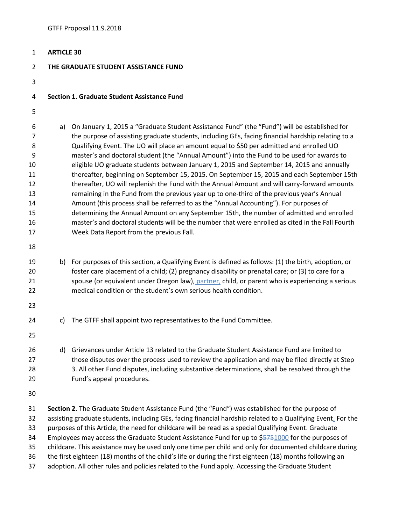| $\mathbf{1}$                                                     | <b>ARTICLE 30</b>                                                                                                                                                                                                                                                                                                                                                                                                                                                                                                                                                                                                                                    |                                                                                                                                                                                                                                                                                                                                                                                                                                                                                                                                                                                                                                                                                                                                                                                                                                                                                                                                                                                                                                                                                                                             |
|------------------------------------------------------------------|------------------------------------------------------------------------------------------------------------------------------------------------------------------------------------------------------------------------------------------------------------------------------------------------------------------------------------------------------------------------------------------------------------------------------------------------------------------------------------------------------------------------------------------------------------------------------------------------------------------------------------------------------|-----------------------------------------------------------------------------------------------------------------------------------------------------------------------------------------------------------------------------------------------------------------------------------------------------------------------------------------------------------------------------------------------------------------------------------------------------------------------------------------------------------------------------------------------------------------------------------------------------------------------------------------------------------------------------------------------------------------------------------------------------------------------------------------------------------------------------------------------------------------------------------------------------------------------------------------------------------------------------------------------------------------------------------------------------------------------------------------------------------------------------|
| $\overline{2}$                                                   | THE GRADUATE STUDENT ASSISTANCE FUND                                                                                                                                                                                                                                                                                                                                                                                                                                                                                                                                                                                                                 |                                                                                                                                                                                                                                                                                                                                                                                                                                                                                                                                                                                                                                                                                                                                                                                                                                                                                                                                                                                                                                                                                                                             |
| 3                                                                |                                                                                                                                                                                                                                                                                                                                                                                                                                                                                                                                                                                                                                                      |                                                                                                                                                                                                                                                                                                                                                                                                                                                                                                                                                                                                                                                                                                                                                                                                                                                                                                                                                                                                                                                                                                                             |
| 4                                                                | Section 1. Graduate Student Assistance Fund                                                                                                                                                                                                                                                                                                                                                                                                                                                                                                                                                                                                          |                                                                                                                                                                                                                                                                                                                                                                                                                                                                                                                                                                                                                                                                                                                                                                                                                                                                                                                                                                                                                                                                                                                             |
| 5                                                                |                                                                                                                                                                                                                                                                                                                                                                                                                                                                                                                                                                                                                                                      |                                                                                                                                                                                                                                                                                                                                                                                                                                                                                                                                                                                                                                                                                                                                                                                                                                                                                                                                                                                                                                                                                                                             |
| 6<br>7<br>8<br>9<br>10<br>11<br>12<br>13<br>14<br>15<br>16<br>17 | a)                                                                                                                                                                                                                                                                                                                                                                                                                                                                                                                                                                                                                                                   | On January 1, 2015 a "Graduate Student Assistance Fund" (the "Fund") will be established for<br>the purpose of assisting graduate students, including GEs, facing financial hardship relating to a<br>Qualifying Event. The UO will place an amount equal to \$50 per admitted and enrolled UO<br>master's and doctoral student (the "Annual Amount") into the Fund to be used for awards to<br>eligible UO graduate students between January 1, 2015 and September 14, 2015 and annually<br>thereafter, beginning on September 15, 2015. On September 15, 2015 and each September 15th<br>thereafter, UO will replenish the Fund with the Annual Amount and will carry-forward amounts<br>remaining in the Fund from the previous year up to one-third of the previous year's Annual<br>Amount (this process shall be referred to as the "Annual Accounting"). For purposes of<br>determining the Annual Amount on any September 15th, the number of admitted and enrolled<br>master's and doctoral students will be the number that were enrolled as cited in the Fall Fourth<br>Week Data Report from the previous Fall. |
| 18<br>19<br>20<br>21<br>22<br>23                                 |                                                                                                                                                                                                                                                                                                                                                                                                                                                                                                                                                                                                                                                      | b) For purposes of this section, a Qualifying Event is defined as follows: (1) the birth, adoption, or<br>foster care placement of a child; (2) pregnancy disability or prenatal care; or (3) to care for a<br>spouse (or equivalent under Oregon law), partner, child, or parent who is experiencing a serious<br>medical condition or the student's own serious health condition.                                                                                                                                                                                                                                                                                                                                                                                                                                                                                                                                                                                                                                                                                                                                         |
| 24<br>25                                                         | C)                                                                                                                                                                                                                                                                                                                                                                                                                                                                                                                                                                                                                                                   | The GTFF shall appoint two representatives to the Fund Committee.                                                                                                                                                                                                                                                                                                                                                                                                                                                                                                                                                                                                                                                                                                                                                                                                                                                                                                                                                                                                                                                           |
| 26<br>27<br>28<br>29                                             |                                                                                                                                                                                                                                                                                                                                                                                                                                                                                                                                                                                                                                                      | d) Grievances under Article 13 related to the Graduate Student Assistance Fund are limited to<br>those disputes over the process used to review the application and may be filed directly at Step<br>3. All other Fund disputes, including substantive determinations, shall be resolved through the<br>Fund's appeal procedures.                                                                                                                                                                                                                                                                                                                                                                                                                                                                                                                                                                                                                                                                                                                                                                                           |
| 30                                                               |                                                                                                                                                                                                                                                                                                                                                                                                                                                                                                                                                                                                                                                      |                                                                                                                                                                                                                                                                                                                                                                                                                                                                                                                                                                                                                                                                                                                                                                                                                                                                                                                                                                                                                                                                                                                             |
| 31<br>32<br>33<br>34<br>35<br>36                                 | Section 2. The Graduate Student Assistance Fund (the "Fund") was established for the purpose of<br>assisting graduate students, including GEs, facing financial hardship related to a Qualifying Event. For the<br>purposes of this Article, the need for childcare will be read as a special Qualifying Event. Graduate<br>Employees may access the Graduate Student Assistance Fund for up to \$5751000 for the purposes of<br>childcare. This assistance may be used only one time per child and only for documented childcare during<br>the first eighteen (18) months of the child's life or during the first eighteen (18) months following an |                                                                                                                                                                                                                                                                                                                                                                                                                                                                                                                                                                                                                                                                                                                                                                                                                                                                                                                                                                                                                                                                                                                             |

adoption. All other rules and policies related to the Fund apply. Accessing the Graduate Student